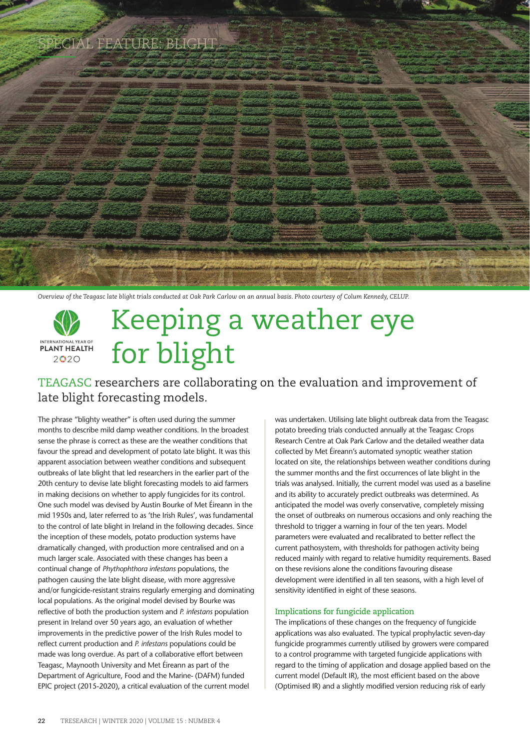

*Overview of the Teagasc late blight trials conducted at Oak Park Carlow on an annual basis. Photo courtesy of Colum Kennedy, CELUP.*

## Keeping a weather eye INTERNATIONAL YEAR OF for blight  $2020$

### TEAGASC researchers are collaborating on the evaluation and improvement of late blight forecasting models.

The phrase "blighty weather" is often used during the summer months to describe mild damp weather conditions. In the broadest sense the phrase is correct as these are the weather conditions that favour the spread and development of potato late blight. It was this apparent association between weather conditions and subsequent outbreaks of late blight that led researchers in the earlier part of the 20th century to devise late blight forecasting models to aid farmers in making decisions on whether to apply fungicides for its control. One such model was devised by Austin Bourke of Met Éireann in the mid 1950s and, later referred to as 'the Irish Rules', was fundamental to the control of late blight in Ireland in the following decades. Since the inception of these models, potato production systems have dramatically changed, with production more centralised and on a much larger scale. Associated with these changes has been a continual change of *Phythophthora infestans* populations, the pathogen causing the late blight disease, with more aggressive and/or fungicide-resistant strains regularly emerging and dominating local populations. As the original model devised by Bourke was reflective of both the production system and *P. infestans* population present in Ireland over 50 years ago, an evaluation of whether improvements in the predictive power of the Irish Rules model to reflect current production and *P. infestans* populations could be made was long overdue. As part of a collaborative effort between Teagasc, Maynooth University and Met Éireann as part of the Department of Agriculture, Food and the Marine- (DAFM) funded EPIC project (2015-2020), a critical evaluation of the current model

was undertaken. Utilising late blight outbreak data from the Teagasc potato breeding trials conducted annually at the Teagasc Crops Research Centre at Oak Park Carlow and the detailed weather data collected by Met Éireann's automated synoptic weather station located on site, the relationships between weather conditions during the summer months and the first occurrences of late blight in the trials was analysed. Initially, the current model was used as a baseline and its ability to accurately predict outbreaks was determined. As anticipated the model was overly conservative, completely missing the onset of outbreaks on numerous occasions and only reaching the threshold to trigger a warning in four of the ten years. Model parameters were evaluated and recalibrated to better reflect the current pathosystem, with thresholds for pathogen activity being reduced mainly with regard to relative humidity requirements. Based on these revisions alone the conditions favouring disease development were identified in all ten seasons, with a high level of sensitivity identified in eight of these seasons.

#### **Implications for fungicide application**

The implications of these changes on the frequency of fungicide applications was also evaluated. The typical prophylactic seven-day fungicide programmes currently utilised by growers were compared to a control programme with targeted fungicide applications with regard to the timing of application and dosage applied based on the current model (Default IR), the most efficient based on the above (Optimised IR) and a slightly modified version reducing risk of early